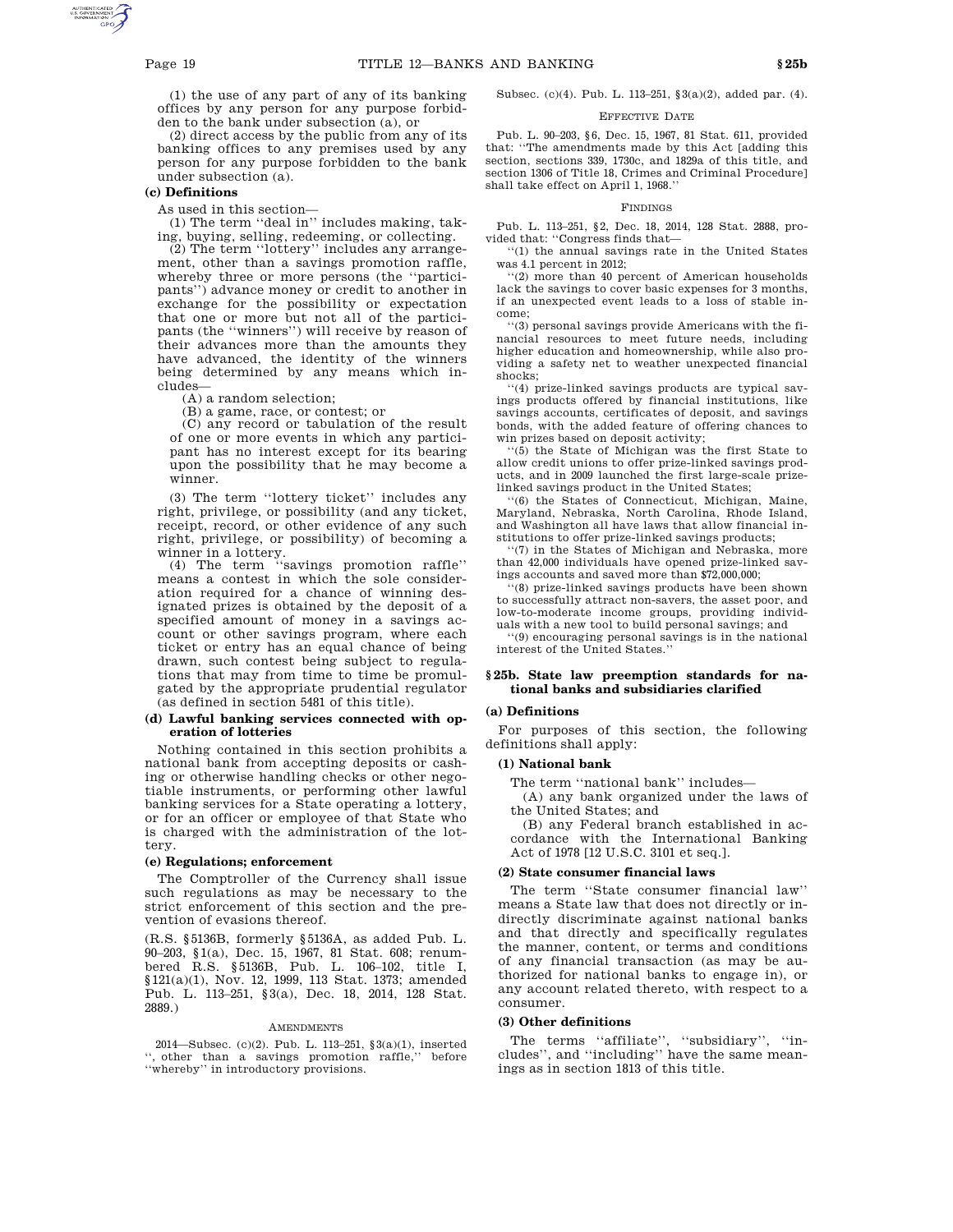(1) the use of any part of any of its banking offices by any person for any purpose forbidden to the bank under subsection (a), or

(2) direct access by the public from any of its banking offices to any premises used by any person for any purpose forbidden to the bank under subsection (a).

### **(c) Definitions**

As used in this section—

(1) The term ''deal in'' includes making, taking, buying, selling, redeeming, or collecting.

(2) The term ''lottery'' includes any arrangement, other than a savings promotion raffle, whereby three or more persons (the ''participants'') advance money or credit to another in exchange for the possibility or expectation that one or more but not all of the participants (the ''winners'') will receive by reason of their advances more than the amounts they have advanced, the identity of the winners being determined by any means which includes—

(A) a random selection;

(B) a game, race, or contest; or

(C) any record or tabulation of the result of one or more events in which any participant has no interest except for its bearing upon the possibility that he may become a winner.

(3) The term ''lottery ticket'' includes any right, privilege, or possibility (and any ticket, receipt, record, or other evidence of any such right, privilege, or possibility) of becoming a winner in a lottery.

(4) The term ''savings promotion raffle'' means a contest in which the sole consideration required for a chance of winning designated prizes is obtained by the deposit of a specified amount of money in a savings account or other savings program, where each ticket or entry has an equal chance of being drawn, such contest being subject to regulations that may from time to time be promulgated by the appropriate prudential regulator (as defined in section 5481 of this title).

### **(d) Lawful banking services connected with operation of lotteries**

Nothing contained in this section prohibits a national bank from accepting deposits or cashing or otherwise handling checks or other negotiable instruments, or performing other lawful banking services for a State operating a lottery, or for an officer or employee of that State who is charged with the administration of the lottery.

## **(e) Regulations; enforcement**

The Comptroller of the Currency shall issue such regulations as may be necessary to the strict enforcement of this section and the prevention of evasions thereof.

(R.S. §5136B, formerly §5136A, as added Pub. L. 90–203, §1(a), Dec. 15, 1967, 81 Stat. 608; renumbered R.S. §5136B, Pub. L. 106–102, title I, §121(a)(1), Nov. 12, 1999, 113 Stat. 1373; amended Pub. L. 113–251, §3(a), Dec. 18, 2014, 128 Stat. 2889.)

### AMENDMENTS

2014—Subsec. (c)(2). Pub. L. 113–251,  $\S 3(a)(1)$ , inserted ", other than a savings promotion raffle," before ''whereby'' in introductory provisions.

Subsec. (c)(4). Pub. L. 113–251, §3(a)(2), added par. (4).

#### EFFECTIVE DATE

Pub. L. 90–203, §6, Dec. 15, 1967, 81 Stat. 611, provided that: ''The amendments made by this Act [adding this section, sections 339, 1730c, and 1829a of this title, and section 1306 of Title 18, Crimes and Criminal Procedure] shall take effect on April 1, 1968.''

#### FINDINGS

Pub. L. 113–251, §2, Dec. 18, 2014, 128 Stat. 2888, provided that: ''Congress finds that—

''(1) the annual savings rate in the United States was 4.1 percent in 2012;

''(2) more than 40 percent of American households lack the savings to cover basic expenses for 3 months, if an unexpected event leads to a loss of stable income;

''(3) personal savings provide Americans with the financial resources to meet future needs, including higher education and homeownership, while also providing a safety net to weather unexpected financial shocks;

''(4) prize-linked savings products are typical savings products offered by financial institutions, like savings accounts, certificates of deposit, and savings bonds, with the added feature of offering chances to win prizes based on deposit activity;

''(5) the State of Michigan was the first State to allow credit unions to offer prize-linked savings products, and in 2009 launched the first large-scale prizelinked savings product in the United States;

''(6) the States of Connecticut, Michigan, Maine, Maryland, Nebraska, North Carolina, Rhode Island, and Washington all have laws that allow financial institutions to offer prize-linked savings products;

'(7) in the States of Michigan and Nebraska, more than 42,000 individuals have opened prize-linked savings accounts and saved more than \$72,000,000;

''(8) prize-linked savings products have been shown to successfully attract non-savers, the asset poor, and low-to-moderate income groups, providing individuals with a new tool to build personal savings; and

''(9) encouraging personal savings is in the national interest of the United States.''

### **§ 25b. State law preemption standards for national banks and subsidiaries clarified**

#### **(a) Definitions**

For purposes of this section, the following definitions shall apply:

#### **(1) National bank**

The term ''national bank'' includes—

(A) any bank organized under the laws of the United States; and

(B) any Federal branch established in accordance with the International Banking Act of 1978 [12 U.S.C. 3101 et seq.].

# **(2) State consumer financial laws**

The term ''State consumer financial law'' means a State law that does not directly or indirectly discriminate against national banks and that directly and specifically regulates the manner, content, or terms and conditions of any financial transaction (as may be authorized for national banks to engage in), or any account related thereto, with respect to a consumer.

#### **(3) Other definitions**

The terms ''affiliate'', ''subsidiary'', ''includes'', and ''including'' have the same meanings as in section 1813 of this title.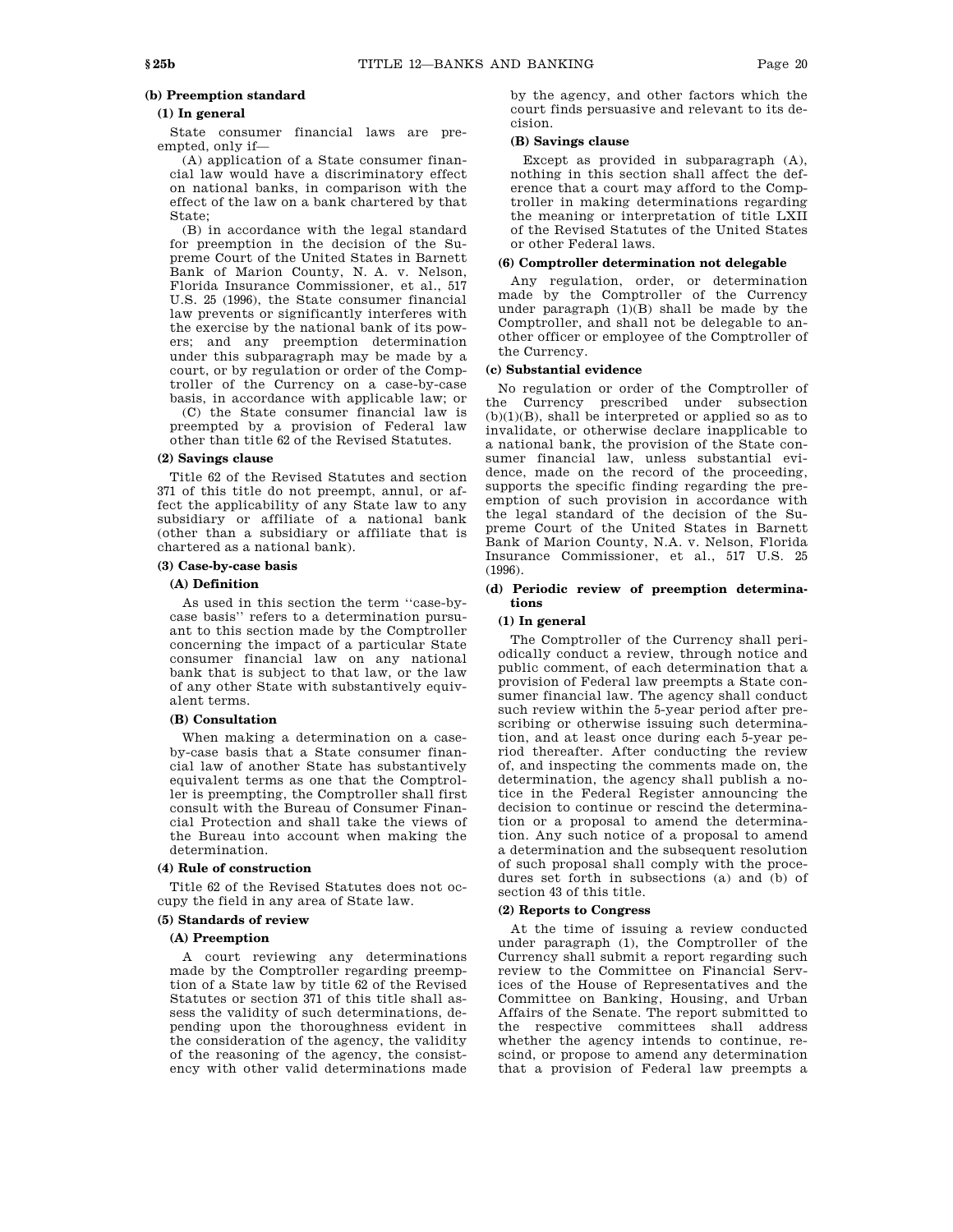## **(b) Preemption standard**

# **(1) In general**

State consumer financial laws are preempted, only if—

(A) application of a State consumer financial law would have a discriminatory effect on national banks, in comparison with the effect of the law on a bank chartered by that State;

(B) in accordance with the legal standard for preemption in the decision of the Supreme Court of the United States in Barnett Bank of Marion County, N. A. v. Nelson, Florida Insurance Commissioner, et al., 517 U.S. 25 (1996), the State consumer financial law prevents or significantly interferes with the exercise by the national bank of its powers; and any preemption determination under this subparagraph may be made by a court, or by regulation or order of the Comptroller of the Currency on a case-by-case basis, in accordance with applicable law; or (C) the State consumer financial law is

preempted by a provision of Federal law other than title 62 of the Revised Statutes.

#### **(2) Savings clause**

Title 62 of the Revised Statutes and section 371 of this title do not preempt, annul, or affect the applicability of any State law to any subsidiary or affiliate of a national bank (other than a subsidiary or affiliate that is chartered as a national bank).

### **(3) Case-by-case basis**

## **(A) Definition**

As used in this section the term ''case-bycase basis'' refers to a determination pursuant to this section made by the Comptroller concerning the impact of a particular State consumer financial law on any national bank that is subject to that law, or the law of any other State with substantively equivalent terms.

## **(B) Consultation**

When making a determination on a caseby-case basis that a State consumer financial law of another State has substantively equivalent terms as one that the Comptroller is preempting, the Comptroller shall first consult with the Bureau of Consumer Financial Protection and shall take the views of the Bureau into account when making the determination.

# **(4) Rule of construction**

Title 62 of the Revised Statutes does not occupy the field in any area of State law.

# **(5) Standards of review**

# **(A) Preemption**

A court reviewing any determinations made by the Comptroller regarding preemption of a State law by title 62 of the Revised Statutes or section 371 of this title shall assess the validity of such determinations, depending upon the thoroughness evident in the consideration of the agency, the validity of the reasoning of the agency, the consistency with other valid determinations made by the agency, and other factors which the court finds persuasive and relevant to its decision.

## **(B) Savings clause**

Except as provided in subparagraph (A), nothing in this section shall affect the deference that a court may afford to the Comptroller in making determinations regarding the meaning or interpretation of title LXII of the Revised Statutes of the United States or other Federal laws.

# **(6) Comptroller determination not delegable**

Any regulation, order, or determination made by the Comptroller of the Currency under paragraph (1)(B) shall be made by the Comptroller, and shall not be delegable to another officer or employee of the Comptroller of the Currency.

## **(c) Substantial evidence**

No regulation or order of the Comptroller of the Currency prescribed under subsection  $(b)(1)(B)$ , shall be interpreted or applied so as to invalidate, or otherwise declare inapplicable to a national bank, the provision of the State consumer financial law, unless substantial evidence, made on the record of the proceeding, supports the specific finding regarding the preemption of such provision in accordance with the legal standard of the decision of the Supreme Court of the United States in Barnett Bank of Marion County, N.A. v. Nelson, Florida Insurance Commissioner, et al., 517 U.S. 25 (1996).

## **(d) Periodic review of preemption determinations**

## **(1) In general**

The Comptroller of the Currency shall periodically conduct a review, through notice and public comment, of each determination that a provision of Federal law preempts a State consumer financial law. The agency shall conduct such review within the 5-year period after prescribing or otherwise issuing such determination, and at least once during each 5-year period thereafter. After conducting the review of, and inspecting the comments made on, the determination, the agency shall publish a notice in the Federal Register announcing the decision to continue or rescind the determination or a proposal to amend the determination. Any such notice of a proposal to amend a determination and the subsequent resolution of such proposal shall comply with the procedures set forth in subsections (a) and (b) of section 43 of this title.

#### **(2) Reports to Congress**

At the time of issuing a review conducted under paragraph (1), the Comptroller of the Currency shall submit a report regarding such review to the Committee on Financial Services of the House of Representatives and the Committee on Banking, Housing, and Urban Affairs of the Senate. The report submitted to the respective committees shall address whether the agency intends to continue, rescind, or propose to amend any determination that a provision of Federal law preempts a